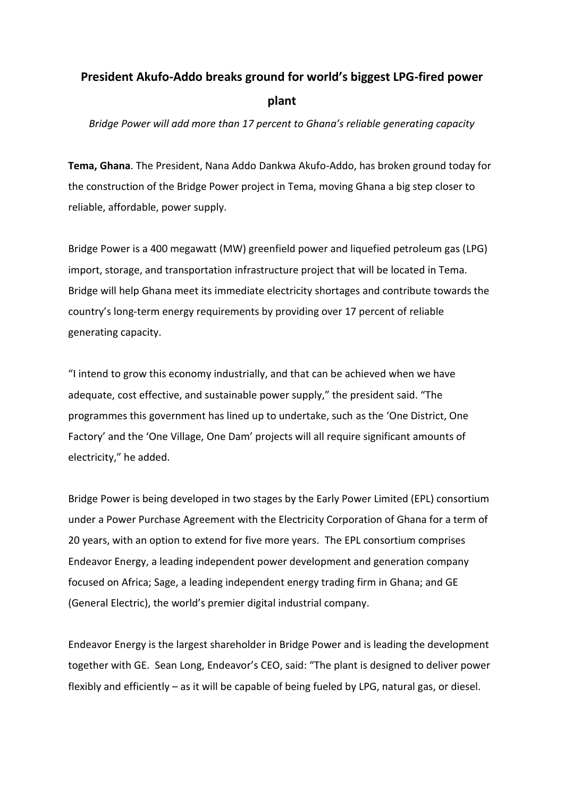## **President Akufo-Addo breaks ground for world's biggest LPG-fired power plant**

*Bridge Power will add more than 17 percent to Ghana's reliable generating capacity*

**Tema, Ghana**. The President, Nana Addo Dankwa Akufo-Addo, has broken ground today for the construction of the Bridge Power project in Tema, moving Ghana a big step closer to reliable, affordable, power supply.

Bridge Power is a 400 megawatt (MW) greenfield power and liquefied petroleum gas (LPG) import, storage, and transportation infrastructure project that will be located in Tema. Bridge will help Ghana meet its immediate electricity shortages and contribute towards the country's long-term energy requirements by providing over 17 percent of reliable generating capacity.

"I intend to grow this economy industrially, and that can be achieved when we have adequate, cost effective, and sustainable power supply," the president said. "The programmes this government has lined up to undertake, such as the 'One District, One Factory' and the 'One Village, One Dam' projects will all require significant amounts of electricity," he added.

Bridge Power is being developed in two stages by the Early Power Limited (EPL) consortium under a Power Purchase Agreement with the Electricity Corporation of Ghana for a term of 20 years, with an option to extend for five more years. The EPL consortium comprises Endeavor Energy, a leading independent power development and generation company focused on Africa; Sage, a leading independent energy trading firm in Ghana; and GE (General Electric), the world's premier digital industrial company.

Endeavor Energy is the largest shareholder in Bridge Power and is leading the development together with GE. Sean Long, Endeavor's CEO, said: "The plant is designed to deliver power flexibly and efficiently – as it will be capable of being fueled by LPG, natural gas, or diesel.